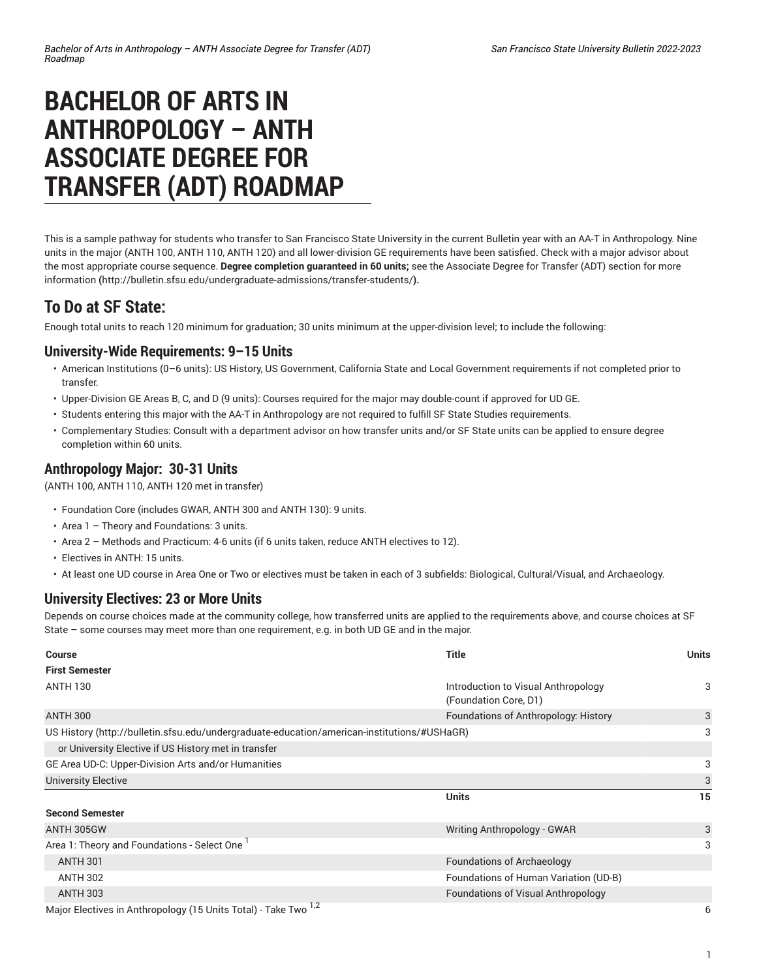# **BACHELOR OF ARTS IN ANTHROPOLOGY – ANTH ASSOCIATE DEGREE FOR TRANSFER (ADT) ROADMAP**

This is a sample pathway for students who transfer to San Francisco State University in the current Bulletin year with an AA-T in Anthropology. Nine units in the major (ANTH 100, ANTH 110, ANTH 120) and all lower-division GE requirements have been satisfied. Check with a major advisor about the most appropriate course sequence. **Degree completion guaranteed in 60 units;** see the [Associate](http://bulletin.sfsu.edu/undergraduate-admissions/transfer-students/) Degree for Transfer (ADT) section for more [information](http://bulletin.sfsu.edu/undergraduate-admissions/transfer-students/) **(**<http://bulletin.sfsu.edu/undergraduate-admissions/transfer-students/>**).**

## **To Do at SF State:**

Enough total units to reach 120 minimum for graduation; 30 units minimum at the upper-division level; to include the following:

#### **University-Wide Requirements: 9–15 Units**

- American Institutions (0–6 units): US History, US Government, California State and Local Government requirements if not completed prior to transfer.
- Upper-Division GE Areas B, C, and D (9 units): Courses required for the major may double-count if approved for UD GE.
- Students entering this major with the AA-T in Anthropology are not required to fulfill SF State Studies requirements.
- Complementary Studies: Consult with a department advisor on how transfer units and/or SF State units can be applied to ensure degree completion within 60 units.

#### **Anthropology Major: 30-31 Units**

(ANTH 100, ANTH 110, ANTH 120 met in transfer)

- Foundation Core (includes GWAR, ANTH 300 and ANTH 130): 9 units.
- Area 1 Theory and Foundations: 3 units.
- Area 2 Methods and Practicum: 4-6 units (if 6 units taken, reduce ANTH electives to 12).
- Electives in ANTH: 15 units.
- At least one UD course in Area One or Two or electives must be taken in each of 3 subfields: Biological, Cultural/Visual, and Archaeology.

### **University Electives: 23 or More Units**

Depends on course choices made at the community college, how transferred units are applied to the requirements above, and course choices at SF State – some courses may meet more than one requirement, e.g. in both UD GE and in the major.

| <b>Course</b>                                                                               | <b>Title</b>                                                 | <b>Units</b> |
|---------------------------------------------------------------------------------------------|--------------------------------------------------------------|--------------|
| <b>First Semester</b>                                                                       |                                                              |              |
| <b>ANTH 130</b>                                                                             | Introduction to Visual Anthropology<br>(Foundation Core, D1) | 3            |
| <b>ANTH 300</b>                                                                             | Foundations of Anthropology: History                         | 3            |
| US History (http://bulletin.sfsu.edu/undergraduate-education/american-institutions/#USHaGR) |                                                              | 3            |
| or University Elective if US History met in transfer                                        |                                                              |              |
| GE Area UD-C: Upper-Division Arts and/or Humanities                                         |                                                              | 3            |
| <b>University Elective</b>                                                                  |                                                              | 3            |
|                                                                                             | <b>Units</b>                                                 | 15           |
| <b>Second Semester</b>                                                                      |                                                              |              |
| ANTH 305GW                                                                                  | Writing Anthropology - GWAR                                  | 3            |
| Area 1: Theory and Foundations - Select One                                                 |                                                              | 3            |
| <b>ANTH 301</b>                                                                             | <b>Foundations of Archaeology</b>                            |              |
| <b>ANTH 302</b>                                                                             | Foundations of Human Variation (UD-B)                        |              |
| <b>ANTH 303</b>                                                                             | Foundations of Visual Anthropology                           |              |
| Major Electives in Anthropology (15 Units Total) - Take Two 1,2                             |                                                              | 6            |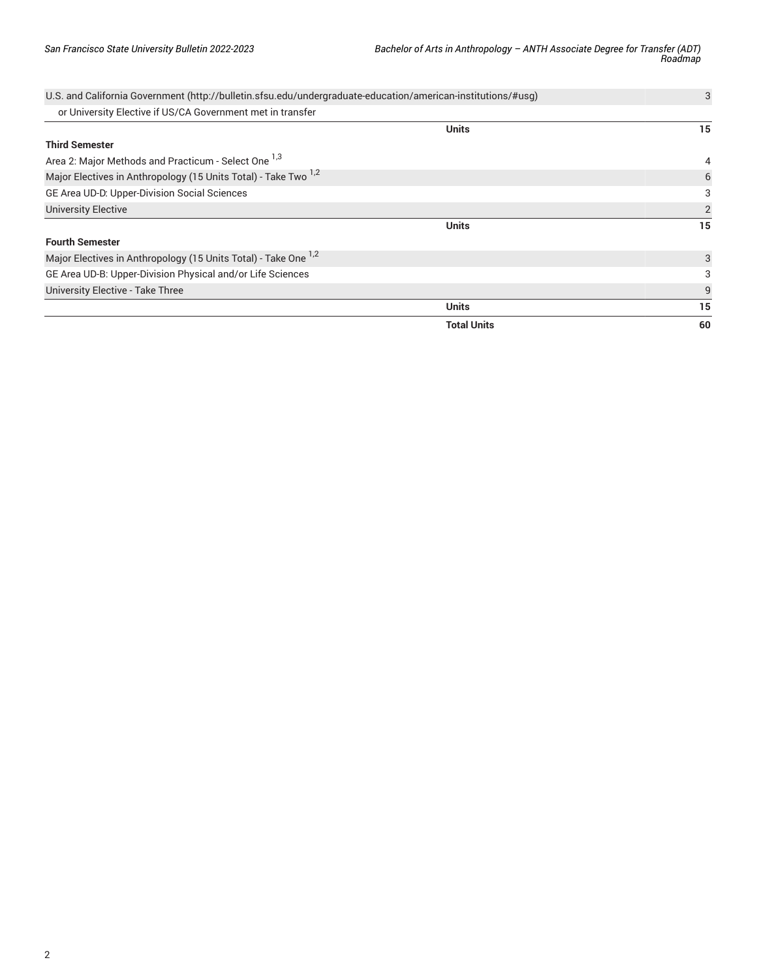| U.S. and California Government (http://bulletin.sfsu.edu/undergraduate-education/american-institutions/#usg) |                    | 3              |
|--------------------------------------------------------------------------------------------------------------|--------------------|----------------|
| or University Elective if US/CA Government met in transfer                                                   |                    |                |
|                                                                                                              | <b>Units</b>       | 15             |
| <b>Third Semester</b>                                                                                        |                    |                |
| Area 2: Major Methods and Practicum - Select One 1,3                                                         |                    | 4              |
| Major Electives in Anthropology (15 Units Total) - Take Two <sup>1,2</sup>                                   |                    | 6              |
| GE Area UD-D: Upper-Division Social Sciences                                                                 |                    | 3              |
| <b>University Elective</b>                                                                                   |                    | $\overline{2}$ |
| <b>Units</b>                                                                                                 | 15                 |                |
| <b>Fourth Semester</b>                                                                                       |                    |                |
| Major Electives in Anthropology (15 Units Total) - Take One <sup>1,2</sup>                                   |                    | 3              |
| GE Area UD-B: Upper-Division Physical and/or Life Sciences                                                   |                    | 3              |
| <b>University Elective - Take Three</b>                                                                      |                    | 9              |
|                                                                                                              | <b>Units</b>       | 15             |
|                                                                                                              | <b>Total Units</b> | 60             |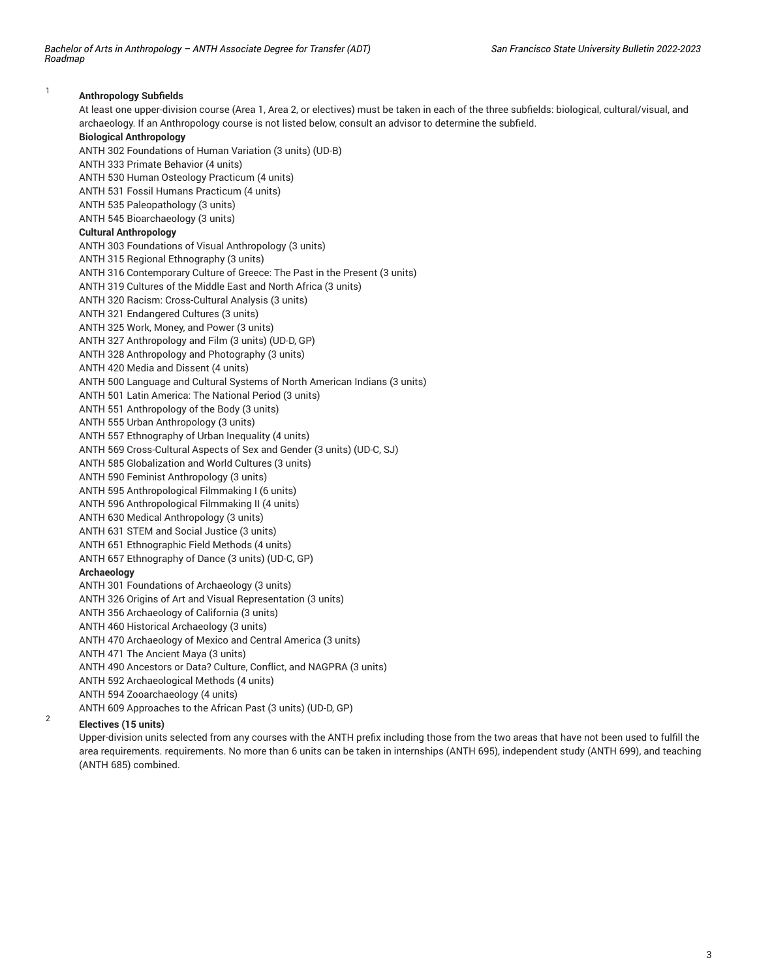*Bachelor of Arts in Anthropology – ANTH Associate Degree for Transfer (ADT) Roadmap*

#### 1 **Anthropology Subfields** At least one upper-division course (Area 1, Area 2, or electives) must be taken in each of the three subfields: biological, cultural/visual, and archaeology. If an Anthropology course is not listed below, consult an advisor to determine the subfield. **Biological Anthropology** ANTH 302 Foundations of Human Variation (3 units) (UD-B) ANTH 333 Primate Behavior (4 units) ANTH 530 Human Osteology Practicum (4 units) ANTH 531 Fossil Humans Practicum (4 units) ANTH 535 Paleopathology (3 units) ANTH 545 Bioarchaeology (3 units) **Cultural Anthropology** ANTH 303 Foundations of Visual Anthropology (3 units) ANTH 315 Regional Ethnography (3 units) ANTH 316 Contemporary Culture of Greece: The Past in the Present (3 units) ANTH 319 Cultures of the Middle East and North Africa (3 units) ANTH 320 Racism: Cross-Cultural Analysis (3 units) ANTH 321 Endangered Cultures (3 units) ANTH 325 Work, Money, and Power (3 units) ANTH 327 Anthropology and Film (3 units) (UD-D, GP) ANTH 328 Anthropology and Photography (3 units) ANTH 420 Media and Dissent (4 units) ANTH 500 Language and Cultural Systems of North American Indians (3 units) ANTH 501 Latin America: The National Period (3 units) ANTH 551 Anthropology of the Body (3 units) ANTH 555 Urban Anthropology (3 units) ANTH 557 Ethnography of Urban Inequality (4 units) ANTH 569 Cross-Cultural Aspects of Sex and Gender (3 units) (UD-C, SJ) ANTH 585 Globalization and World Cultures (3 units) ANTH 590 Feminist Anthropology (3 units) ANTH 595 Anthropological Filmmaking I (6 units) ANTH 596 Anthropological Filmmaking II (4 units) ANTH 630 Medical Anthropology (3 units) ANTH 631 STEM and Social Justice (3 units) ANTH 651 Ethnographic Field Methods (4 units) ANTH 657 Ethnography of Dance (3 units) (UD-C, GP) **Archaeology** ANTH 301 Foundations of Archaeology (3 units) ANTH 326 Origins of Art and Visual Representation (3 units) ANTH 356 Archaeology of California (3 units) ANTH 460 Historical Archaeology (3 units) ANTH 470 Archaeology of Mexico and Central America (3 units) ANTH 471 The Ancient Maya (3 units) ANTH 490 Ancestors or Data? Culture, Conflict, and NAGPRA (3 units) ANTH 592 Archaeological Methods (4 units) ANTH 594 Zooarchaeology (4 units) ANTH 609 Approaches to the African Past (3 units) (UD-D, GP)  $\overline{2}$ **Electives (15 units)**

Upper-division units selected from any courses with the ANTH prefix including those from the two areas that have not been used to fulfill the area requirements. requirements. No more than 6 units can be taken in internships (ANTH 695), independent study (ANTH 699), and teaching (ANTH 685) combined.